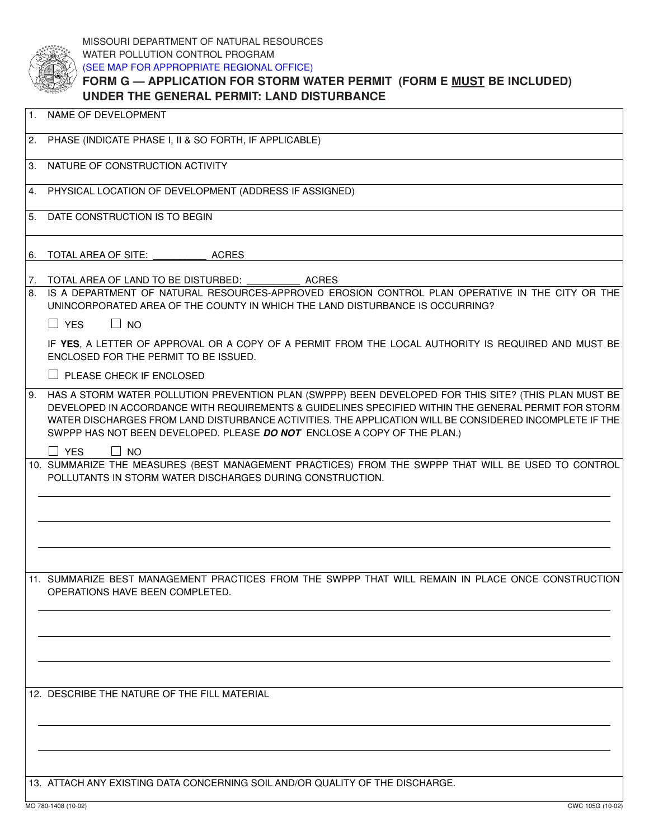| NAME OF DEVELOPMENT |                                                                       |  |  |  |
|---------------------|-----------------------------------------------------------------------|--|--|--|
|                     | UNDER THE GENERAL PERMIT: LAND DISTURBANCE                            |  |  |  |
|                     | FORM G — APPLICATION FOR STORM WATER PERMIT (FORM E MUST BE INCLUDED) |  |  |  |
|                     | (SEE MAP FOR APPROPRIATE REGIONAL OFFICE)                             |  |  |  |
|                     | WATER POLLUTION CONTROL PROGRAM                                       |  |  |  |
|                     | MISSOURI DEPARTMENT OF NATURAL RESOURCES                              |  |  |  |

| 2.       | PHASE (INDICATE PHASE I, II & SO FORTH, IF APPLICABLE)                                                                                                                                                                                                                                                                                                                                              |  |  |
|----------|-----------------------------------------------------------------------------------------------------------------------------------------------------------------------------------------------------------------------------------------------------------------------------------------------------------------------------------------------------------------------------------------------------|--|--|
| 3.       | NATURE OF CONSTRUCTION ACTIVITY                                                                                                                                                                                                                                                                                                                                                                     |  |  |
| 4.       | PHYSICAL LOCATION OF DEVELOPMENT (ADDRESS IF ASSIGNED)                                                                                                                                                                                                                                                                                                                                              |  |  |
| 5.       | DATE CONSTRUCTION IS TO BEGIN                                                                                                                                                                                                                                                                                                                                                                       |  |  |
| 6.       | TOTAL AREA OF SITE:<br><b>ACRES</b>                                                                                                                                                                                                                                                                                                                                                                 |  |  |
| 7.<br>8. | TOTAL AREA OF LAND TO BE DISTURBED:<br><b>ACRES</b><br>IS A DEPARTMENT OF NATURAL RESOURCES-APPROVED EROSION CONTROL PLAN OPERATIVE IN THE CITY OR THE<br>UNINCORPORATED AREA OF THE COUNTY IN WHICH THE LAND DISTURBANCE IS OCCURRING?                                                                                                                                                             |  |  |
|          | $\Box$ YES<br>$\Box$ NO                                                                                                                                                                                                                                                                                                                                                                             |  |  |
|          | IF YES, A LETTER OF APPROVAL OR A COPY OF A PERMIT FROM THE LOCAL AUTHORITY IS REQUIRED AND MUST BE<br>ENCLOSED FOR THE PERMIT TO BE ISSUED.                                                                                                                                                                                                                                                        |  |  |
|          | $\Box$ PLEASE CHECK IF ENCLOSED                                                                                                                                                                                                                                                                                                                                                                     |  |  |
| 9.       | HAS A STORM WATER POLLUTION PREVENTION PLAN (SWPPP) BEEN DEVELOPED FOR THIS SITE? (THIS PLAN MUST BE<br>DEVELOPED IN ACCORDANCE WITH REQUIREMENTS & GUIDELINES SPECIFIED WITHIN THE GENERAL PERMIT FOR STORM<br>WATER DISCHARGES FROM LAND DISTURBANCE ACTIVITIES. THE APPLICATION WILL BE CONSIDERED INCOMPLETE IF THE<br>SWPPP HAS NOT BEEN DEVELOPED. PLEASE DO NOT ENCLOSE A COPY OF THE PLAN.) |  |  |
|          | $\Box$ YES<br>$\Box$ No                                                                                                                                                                                                                                                                                                                                                                             |  |  |
|          | 10. SUMMARIZE THE MEASURES (BEST MANAGEMENT PRACTICES) FROM THE SWPPP THAT WILL BE USED TO CONTROL<br>POLLUTANTS IN STORM WATER DISCHARGES DURING CONSTRUCTION.                                                                                                                                                                                                                                     |  |  |
|          |                                                                                                                                                                                                                                                                                                                                                                                                     |  |  |
|          |                                                                                                                                                                                                                                                                                                                                                                                                     |  |  |
|          | 11. SUMMARIZE BEST MANAGEMENT PRACTICES FROM THE SWPPP THAT WILL REMAIN IN PLACE ONCE CONSTRUCTION<br>OPERATIONS HAVE BEEN COMPLETED.                                                                                                                                                                                                                                                               |  |  |
|          |                                                                                                                                                                                                                                                                                                                                                                                                     |  |  |
|          |                                                                                                                                                                                                                                                                                                                                                                                                     |  |  |
|          |                                                                                                                                                                                                                                                                                                                                                                                                     |  |  |
|          | 12. DESCRIBE THE NATURE OF THE FILL MATERIAL                                                                                                                                                                                                                                                                                                                                                        |  |  |
|          |                                                                                                                                                                                                                                                                                                                                                                                                     |  |  |
|          |                                                                                                                                                                                                                                                                                                                                                                                                     |  |  |
|          | 13. ATTACH ANY EXISTING DATA CONCERNING SOIL AND/OR QUALITY OF THE DISCHARGE.                                                                                                                                                                                                                                                                                                                       |  |  |
|          | MO 780-1408 (10-02)<br>CWC 105G (10-02)                                                                                                                                                                                                                                                                                                                                                             |  |  |